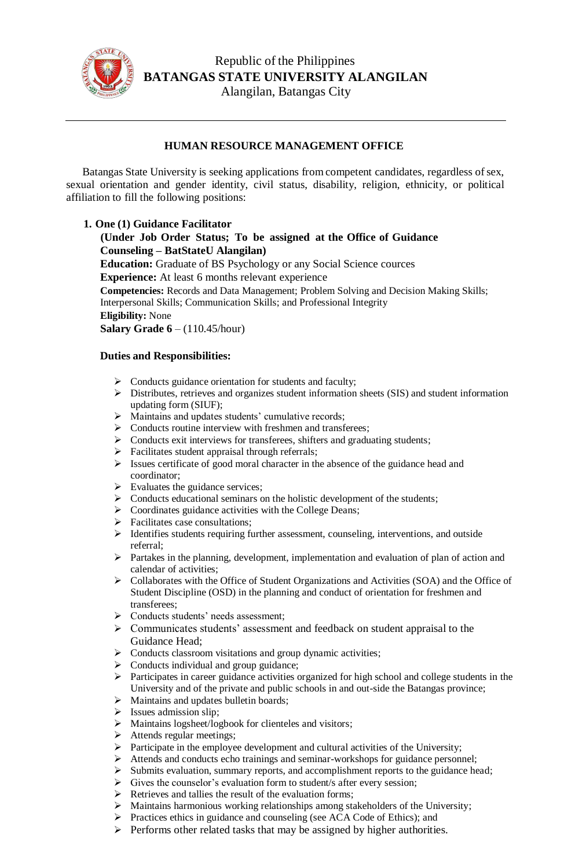

## **HUMAN RESOURCE MANAGEMENT OFFICE**

Batangas State University is seeking applications from competent candidates, regardless of sex, sexual orientation and gender identity, civil status, disability, religion, ethnicity, or political affiliation to fill the following positions:

## **1. One (1) Guidance Facilitator**

**(Under Job Order Status; To be assigned at the Office of Guidance Counseling – BatStateU Alangilan)**

**Education:** Graduate of BS Psychology or any Social Science cources **Experience:** At least 6 months relevant experience

**Competencies:** Records and Data Management; Problem Solving and Decision Making Skills; Interpersonal Skills; Communication Skills; and Professional Integrity

**Eligibility:** None

**Salary Grade 6** – (110.45/hour)

## **Duties and Responsibilities:**

- $\triangleright$  Conducts guidance orientation for students and faculty;
- Distributes, retrieves and organizes student information sheets (SIS) and student information updating form (SIUF);
- > Maintains and updates students' cumulative records;
- $\triangleright$  Conducts routine interview with freshmen and transferees;
- $\triangleright$  Conducts exit interviews for transferees, shifters and graduating students;
- $\triangleright$  Facilitates student appraisal through referrals;
- $\triangleright$  Issues certificate of good moral character in the absence of the guidance head and coordinator;
- $\triangleright$  Evaluates the guidance services;
- $\triangleright$  Conducts educational seminars on the holistic development of the students;
- > Coordinates guidance activities with the College Deans;
- > Facilitates case consultations;
- $\triangleright$  Identifies students requiring further assessment, counseling, interventions, and outside referral;
- Partakes in the planning, development, implementation and evaluation of plan of action and calendar of activities;
- Collaborates with the Office of Student Organizations and Activities (SOA) and the Office of Student Discipline (OSD) in the planning and conduct of orientation for freshmen and transferees;
- > Conducts students' needs assessment;
- Communicates students' assessment and feedback on student appraisal to the Guidance Head;
- $\triangleright$  Conducts classroom visitations and group dynamic activities;
- $\triangleright$  Conducts individual and group guidance;
- $\triangleright$  Participates in career guidance activities organized for high school and college students in the University and of the private and public schools in and out-side the Batangas province;
- > Maintains and updates bulletin boards;
- $\triangleright$  Issues admission slip;
- > Maintains logsheet/logbook for clienteles and visitors;
- $\triangleright$  Attends regular meetings;
- $\triangleright$  Participate in the employee development and cultural activities of the University;
- Attends and conducts echo trainings and seminar-workshops for guidance personnel;
- $\triangleright$  Submits evaluation, summary reports, and accomplishment reports to the guidance head;
- $\triangleright$  Gives the counselor's evaluation form to student/s after every session;
- $\triangleright$  Retrieves and tallies the result of the evaluation forms;
- $\triangleright$  Maintains harmonious working relationships among stakeholders of the University;
- $\triangleright$  Practices ethics in guidance and counseling (see ACA Code of Ethics); and
- $\triangleright$  Performs other related tasks that may be assigned by higher authorities.